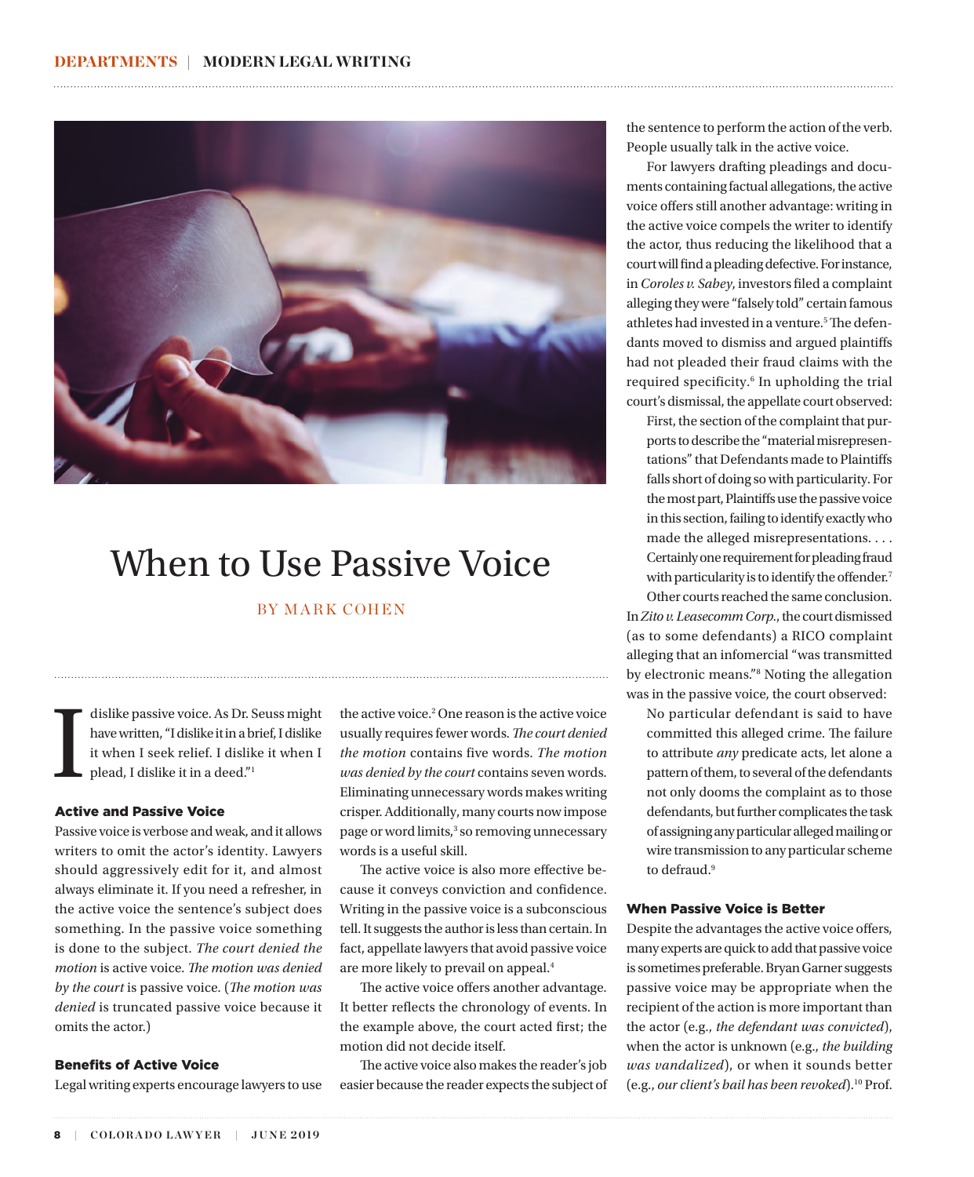

## When to Use Passive Voice

### BY MARK COHEN

dislike passive voice. As Dr. Seuss might have written, "I dislike it in a brief, I dislike it when I plead, I dislike it in a deed."<sup>1</sup> have written, "I dislike it in a brief, I dislike it when I seek relief. I dislike it when I plead, I dislike it in a deed."1

#### Active and Passive Voice

Passive voice is verbose and weak, and it allows writers to omit the actor's identity. Lawyers should aggressively edit for it, and almost always eliminate it. If you need a refresher, in the active voice the sentence's subject does something. In the passive voice something is done to the subject. *The court denied the motion* is active voice. *The motion was denied by the court* is passive voice. (*The motion was denied* is truncated passive voice because it omits the actor.)

#### Benefits of Active Voice

Legal writing experts encourage lawyers to use

the active voice.<sup>2</sup> One reason is the active voice usually requires fewer words. *The court denied the motion* contains five words. *The motion was denied by the court* contains seven words. Eliminating unnecessary words makes writing crisper. Additionally, many courts now impose page or word limits,<sup>3</sup> so removing unnecessary words is a useful skill.

The active voice is also more effective because it conveys conviction and confidence. Writing in the passive voice is a subconscious tell. It suggests the author is less than certain. In fact, appellate lawyers that avoid passive voice are more likely to prevail on appeal.4

The active voice offers another advantage. It better reflects the chronology of events. In the example above, the court acted first; the motion did not decide itself.

The active voice also makes the reader's job easier because the reader expects the subject of the sentence to perform the action of the verb. People usually talk in the active voice.

For lawyers drafting pleadings and documents containing factual allegations, the active voice offers still another advantage: writing in the active voice compels the writer to identify the actor, thus reducing the likelihood that a court will find a pleading defective. For instance, in *Coroles v. Sabey*, investors filed a complaint alleging they were "falsely told" certain famous athletes had invested in a venture.<sup>5</sup> The defendants moved to dismiss and argued plaintiffs had not pleaded their fraud claims with the required specificity.<sup>6</sup> In upholding the trial court's dismissal, the appellate court observed:

First, the section of the complaint that purports to describe the "material misrepresentations" that Defendants made to Plaintiffs falls short of doing so with particularity. For the most part, Plaintiffs use the passive voice in this section, failing to identify exactly who made the alleged misrepresentations. . . . Certainly one requirement for pleading fraud with particularity is to identify the offender.<sup>7</sup>

Other courts reached the same conclusion. In *Zito v. Leasecomm Corp.*, the court dismissed (as to some defendants) a RICO complaint alleging that an infomercial ''was transmitted by electronic means."8 Noting the allegation was in the passive voice, the court observed:

No particular defendant is said to have committed this alleged crime. The failure to attribute *any* predicate acts, let alone a pattern of them, to several of the defendants not only dooms the complaint as to those defendants, but further complicates the task of assigning any particular alleged mailing or wire transmission to any particular scheme to defraud.<sup>9</sup>

#### When Passive Voice is Better

Despite the advantages the active voice offers, many experts are quick to add that passive voice is sometimes preferable. Bryan Garner suggests passive voice may be appropriate when the recipient of the action is more important than the actor (e.g., *the defendant was convicted*), when the actor is unknown (e.g., *the building was vandalized*), or when it sounds better (e.g., *our client's bail has been revoked*).10 Prof.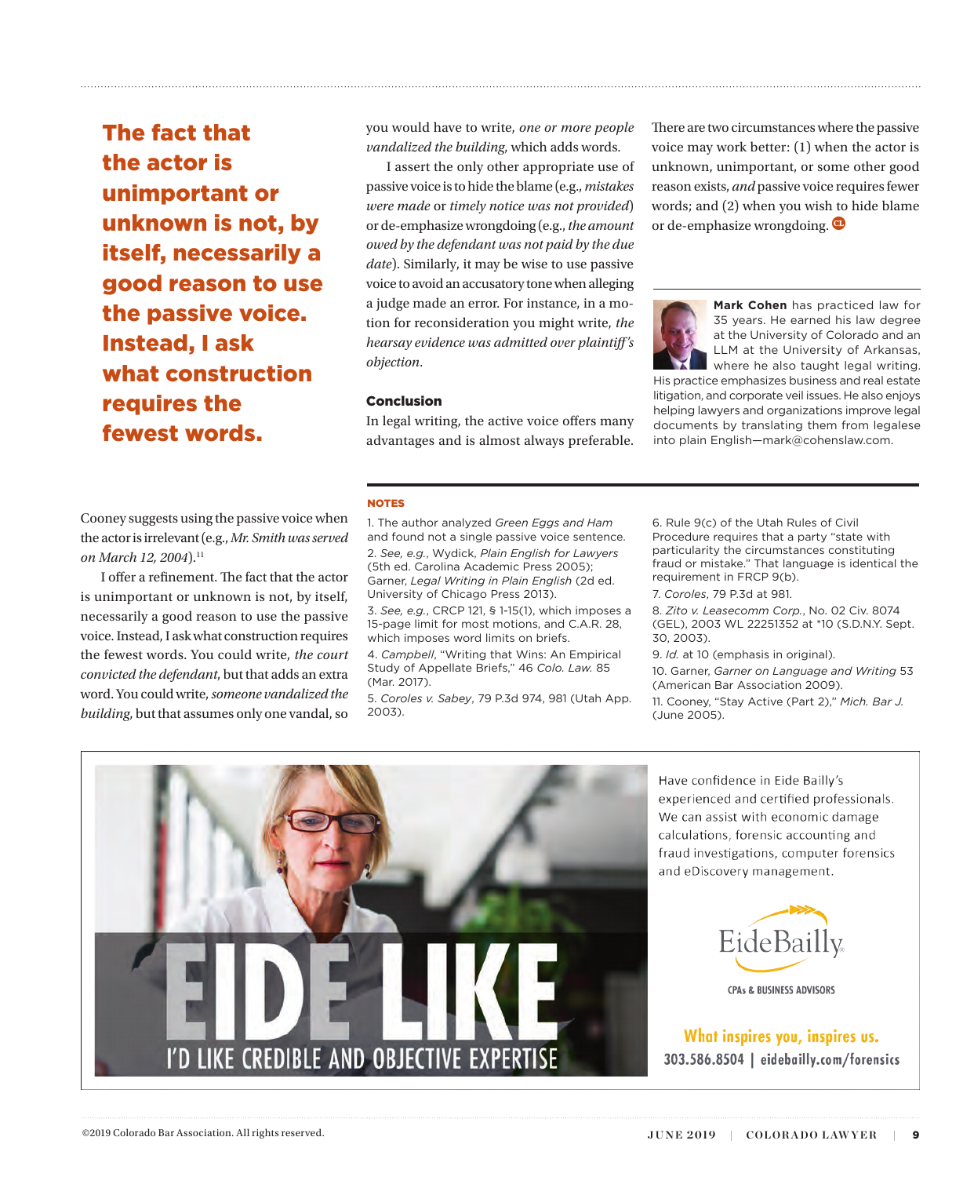The fact that the actor is unimportant or unknown is not, by itself, necessarily a good reason to use the passive voice. Instead, I ask what construction requires the fewest words.

you would have to write, *one or more people vandalized the building*, which adds words.

I assert the only other appropriate use of passive voice is to hide the blame (e.g., *mistakes were made* or *timely notice was not provided*) or de-emphasize wrongdoing (e.g., *the amount owed by the defendant was not paid by the due date*). Similarly, it may be wise to use passive voice to avoid an accusatory tone when alleging a judge made an error. For instance, in a motion for reconsideration you might write, *the hearsay evidence was admitted over plaintiff's objection*.

#### Conclusion

In legal writing, the active voice offers many advantages and is almost always preferable. There are two circumstances where the passive voice may work better: (1) when the actor is unknown, unimportant, or some other good reason exists, *and* passive voice requires fewer words; and (2) when you wish to hide blame or de-emphasize wrongdoing.



**Mark Cohen** has practiced law for 35 years. He earned his law degree at the University of Colorado and an LLM at the University of Arkansas, where he also taught legal writing.

His practice emphasizes business and real estate litigation, and corporate veil issues. He also enjoys helping lawyers and organizations improve legal documents by translating them from legalese into plain English—mark@cohenslaw.com.

#### NOTES

Cooney suggests using the passive voice when the actor is irrelevant (e.g., *Mr. Smith was served*  on March 12, 2004).<sup>11</sup>

I offer a refinement. The fact that the actor is unimportant or unknown is not, by itself, necessarily a good reason to use the passive voice. Instead, I ask what construction requires the fewest words. You could write, *the court convicted the defendant*, but that adds an extra word. You could write, *someone vandalized the building*, but that assumes only one vandal, so

1. The author analyzed *Green Eggs and Ham*  and found not a single passive voice sentence. 2. *See, e.g.*, Wydick, *Plain English for Lawyers*  (5th ed. Carolina Academic Press 2005); Garner, *Legal Writing in Plain English* (2d ed. University of Chicago Press 2013).

3. *See, e.g.*, CRCP 121, § 1-15(1), which imposes a 15-page limit for most motions, and C.A.R. 28, which imposes word limits on briefs.

4. *Campbell*, "Writing that Wins: An Empirical Study of Appellate Briefs," 46 *Colo. Law.* 85 (Mar. 2017).

5. *Coroles v. Sabey*, 79 P.3d 974, 981 (Utah App. 2003).

6. Rule 9(c) of the Utah Rules of Civil Procedure requires that a party "state with particularity the circumstances constituting fraud or mistake." That language is identical the requirement in FRCP 9(b).

7. *Coroles*, 79 P.3d at 981.

8. *Zito v. Leasecomm Corp.*, No. 02 Civ. 8074 (GEL), 2003 WL 22251352 at \*10 (S.D.N.Y. Sept. 30, 2003).

9. *Id.* at 10 (emphasis in original).

10. Garner, *Garner on Language and Writing* 53 (American Bar Association 2009).

11. Cooney, "Stay Active (Part 2)," *Mich. Bar J.* (June 2005).



Have confidence in Eide Bailly's experienced and certified professionals. We can assist with economic damage calculations, forensic accounting and fraud investigations, computer forensics and eDiscovery management.



What inspires you, inspires us. 303.586.8504 | eidebailly.com/forensics